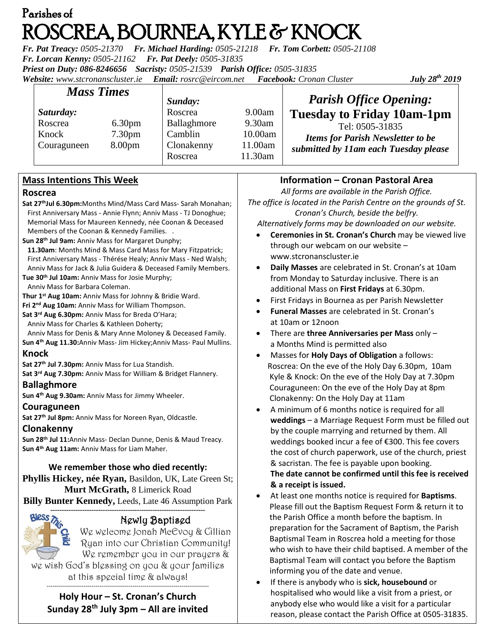# Parishes of ROSCREA, BOURNEA, KYLE & KNOCK

*Fr. Pat Treacy: 0505-21370 Fr. Michael Harding: 0505-21218 Fr. Tom Corbett: 0505-21108 Fr. Lorcan Kenny: 0505-21162 Fr. Pat Deely: 0505-31835 Priest on Duty: 086-8246656 Sacristy: 0505-21539 Parish Office: 0505-31835 Website: [www.stcronanscluster.ie](http://www.stcronanscluster.ie/) Email: [rosrc@eircom.net](mailto:rosrc@eircom.net) Facebook: Cronan Cluster* 

*July* 28<sup>th</sup> 2019

| <b>Mass Times</b> |                    | Sunday:     |         | <b>Parish Office Opening:</b>                                                                        |
|-------------------|--------------------|-------------|---------|------------------------------------------------------------------------------------------------------|
| Saturday:         |                    | Roscrea     | 9.00am  | <b>Tuesday to Friday 10am-1pm</b>                                                                    |
| Roscrea           | 6.30 <sub>pm</sub> | Ballaghmore | 9.30am  | Tel: 0505-31835<br><b>Items for Parish Newsletter to be</b><br>submitted by 11am each Tuesday please |
| Knock             | 7.30 <sub>pm</sub> | Camblin     | 10.00am |                                                                                                      |
| Couraguneen       | 8.00 <sub>pm</sub> | Clonakenny  | 11.00am |                                                                                                      |
|                   |                    | Roscrea     | 11.30am |                                                                                                      |

# **Mass Intentions This Week**

### **Roscrea**

- **Sat 27thJul 6.30pm:**Months Mind/Mass Card Mass- Sarah Monahan; First Anniversary Mass - Annie Flynn; Anniv Mass - TJ Donoghue; Memorial Mass for Maureen Kennedy, née Coonan & Deceased Members of the Coonan & Kennedy Families. .
- **Sun 28th Jul 9am:** Anniv Mass for Margaret Dunphy; **11.30am**: Months Mind & Mass Card Mass for Mary Fitzpatrick; First Anniversary Mass - Thérése Healy; Anniv Mass - Ned Walsh; Anniv Mass for Jack & Julia Guidera & Deceased Family Members.
- **Tue 30th Jul 10am:** Anniv Mass for Josie Murphy;

Anniv Mass for Barbara Coleman.

**Thur 1st Aug 10am:** Anniv Mass for Johnny & Bridie Ward.

**Fri 2nd Aug 10am:** Anniv Mass for William Thompson.

**Sat 3 rd Aug 6.30pm:** Anniv Mass for Breda O'Hara;

Anniv Mass for Charles & Kathleen Doherty;

Anniv Mass for Denis & Mary Anne Moloney & Deceased Family.

**Sun 4th Aug 11.30:**Anniv Mass- Jim Hickey;Anniv Mass- Paul Mullins. **Knock**

**Sat 27th Jul 7.30pm:** Anniv Mass for Lua Standish.

**Sat 3rd Aug 7.30pm:** Anniv Mass for William & Bridget Flannery.

### **Ballaghmore**

**Sun 4 th Aug 9.30am:** Anniv Mass for Jimmy Wheeler.

# **Couraguneen**

**Sat 27th Jul 8pm:** Anniv Mass for Noreen Ryan, Oldcastle.

# **Clonakenny**

**Sun 28th Jul 11:**Anniv Mass- Declan Dunne, Denis & Maud Treacy. **Sun 4th Aug 11am:** Anniv Mass for Liam Maher.

# **We remember those who died recently:**

**Phyllis Hickey, née Ryan,** Basildon, UK, Late Green St; **Murt McGrath,** 8 Limerick Road

**Billy Bunter Kennedy,** Leeds, Late 46 Assumption Park --------------------------------------------------------------------



# Newly Baptised

We welcome Jonah McEvoy & Cillian Ryan into our Christian Community! We remember you in our prayers & we wish God's blessing on you & your families at this special time & always!

#### ----------------------------------------------------------------------------------- **Holy Hour – St. Cronan's Church Sunday 28th July 3pm – All are invited**

# **Information – Cronan Pastoral Area**

*All forms are available in the Parish Office. The office is located in the Parish Centre on the grounds of St. Cronan's Church, beside the belfry.*

*Alternatively forms may be downloaded on our website.*

- **Ceremonies in St. Cronan's Church** may be viewed live through our webcam on our website – [www.stcronanscluster.ie](http://www.stcronanscluster.ie/)
- **Daily Masses** are celebrated in St. Cronan's at 10am from Monday to Saturday inclusive. There is an additional Mass on **First Fridays** at 6.30pm.
- First Fridays in Bournea as per Parish Newsletter
- **Funeral Masses** are celebrated in St. Cronan's at 10am or 12noon
- There are **three Anniversaries per Mass** only a Months Mind is permitted also
- Masses for **Holy Days of Obligation** a follows: Roscrea: On the eve of the Holy Day 6.30pm, 10am Kyle & Knock: On the eve of the Holy Day at 7.30pm Couraguneen: On the eve of the Holy Day at 8pm Clonakenny: On the Holy Day at 11am
- A minimum of 6 months notice is required for all **weddings** – a Marriage Request Form must be filled out by the couple marrying and returned by them. All weddings booked incur a fee of €300. This fee covers the cost of church paperwork, use of the church, priest & sacristan. The fee is payable upon booking. **The date cannot be confirmed until this fee is received & a receipt is issued.**
- At least one months notice is required for **Baptisms**. Please fill out the Baptism Request Form & return it to the [Parish](http://www.stcronanscluster.ie/-preparations.html) Office a month before the baptism. In preparation for the Sacrament of Baptism, the Parish Baptismal Team in Roscrea hold a meeting for those who wish to have their child baptised. A member of the Baptismal Team will contact you before the Baptism informing you of the date and venue.
- If there is anybody who is **sick, housebound** or hospitalised who would like a visit from a priest, or anybody else who would like a visit for a particular reason, please contact the Parish Office at 0505-31835.